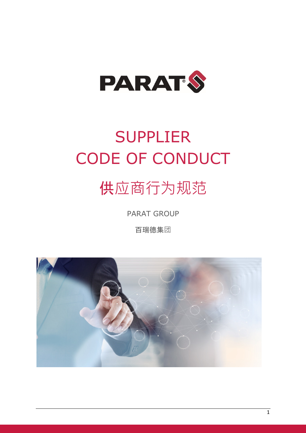

# SUPPLIER CODE OF CONDUCT

# 供应商行为规范

PARAT GROUP

百瑞德集团

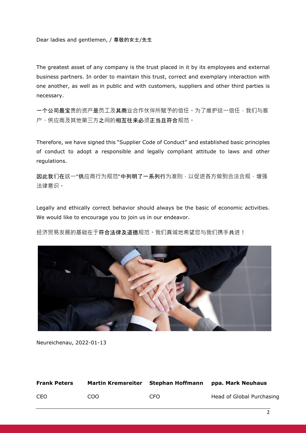Dear ladies and gentlemen, / 尊敬的女士/先生

The greatest asset of any company is the trust placed in it by its employees and external business partners. In order to maintain this trust, correct and exemplary interaction with one another, as well as in public and with customers, suppliers and other third parties is necessary.

一个公司最宝贵的资产是员工及其商业合作伙伴所赋予的信任。为了维护这一信任,我们与客 户、供应商及其他第三方之间的相互往来必须正当且符合规范。

Therefore, we have signed this "Supplier Code of Conduct" and established basic principles of conduct to adopt a responsible and legally compliant attitude to laws and other regulations.

因此我们在这一"供应商行为规范"中列明了一系列行为准则,以促进各方做到合法合规,增强 法律意识。

Legally and ethically correct behavior should always be the basic of economic activities. We would like to encourage you to join us in our endeavor.

经济贸易发展的基础在于**符合法律及道德**规范。我们真诚地希望您与我们携手共进!



Neureichenau, 2022-01-13

| <b>Frank Peters</b> | Martin Kremsreiter | Stephan Hoffmann | ppa. Mark Neuhaus         |
|---------------------|--------------------|------------------|---------------------------|
| <b>CEO</b>          | COO.               | CEO.             | Head of Global Purchasing |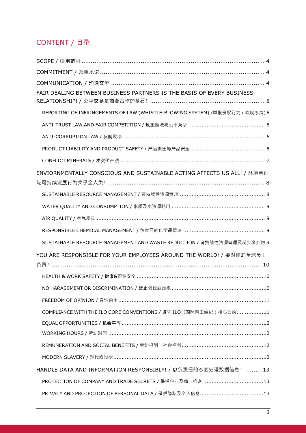# CONTENT / 目录

| FAIR DEALING BETWEEN BUSINESS PARTNERS IS THE BASIS OF EVERY BUSINESS        |
|------------------------------------------------------------------------------|
| REPORTING OF INFRINGEMENTS OF LAW (WHISTLE-BLOWING SYSTEM) /举报侵权行为 ( 吹哨系统) 5 |
|                                                                              |
|                                                                              |
|                                                                              |
|                                                                              |
| ENVIORNMENTALLY CONSCIOUS AND SUSTAINABLE ACTING AFFECTS US ALL! / 环境意识      |
|                                                                              |
|                                                                              |
|                                                                              |
|                                                                              |
| SUSTAINABLE RESOURCE MANAGEMENT AND WASTE REDUCTION / 可持续性资源管理及减少废弃物 9       |
| YOU ARE RESPONSIBLE FOR YOUR EMPLOYEES AROUND THE WORLD! / 要对你的全球员工          |
|                                                                              |
|                                                                              |
|                                                                              |
| COMPLIANCE WITH THE ILO CORE CONVENTIONS / 遵守 ILO (国际劳工组织) 核心公约11            |
|                                                                              |
| WORKING HOURS / 劳动时间 ……………………………………………………………………………………12                      |
|                                                                              |
|                                                                              |
| HANDLE DATA AND INFORMATION RESPONSIBLY! / 以负责任的态度处理数据信息! 13                 |
| PROTECTION OF COMPANY AND TRADE SECRETS / 保护企业及商业机密 13                       |
|                                                                              |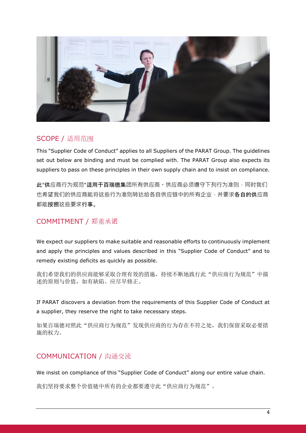

### SCOPE / 适用范围

This "Supplier Code of Conduct" applies to all Suppliers of the PARAT Group. The guidelines set out below are binding and must be complied with. The PARAT Group also expects its suppliers to pass on these principles in their own supply chain and to insist on compliance.

此"供应商行为规范"适用于百瑞德集团所有供应商。供应商必须遵守下列行为准则,同时我们 也希望我们的供应商能将这些行为准则转达给各自供应链中的所有企业,并要求各自的供应商 都能按照这些要求行事。

# COMMITMENT / 郑重承诺

We expect our suppliers to make suitable and reasonable efforts to continuously implement and apply the principles and values described in this "Supplier Code of Conduct" and to remedy existing deficits as quickly as possible.

我们希望我们的供应商能够采取合理有效的措施,持续不断地践行此"供应商行为规范"中描 述的原则与价值,如有缺陷。应尽早修正。

If PARAT discovers a deviation from the requirements of this Supplier Code of Conduct at a supplier, they reserve the right to take necessary steps.

如果百瑞德对照此"供应商行为规范"发现供应商的行为存在不符之处,我们保留采取必要措 施的权力。

## COMMUNICATION / 沟通交流

We insist on compliance of this "Supplier Code of Conduct" along our entire value chain.

我们坚持要求整个价值链中所有的企业都要遵守此"供应商行为规范"。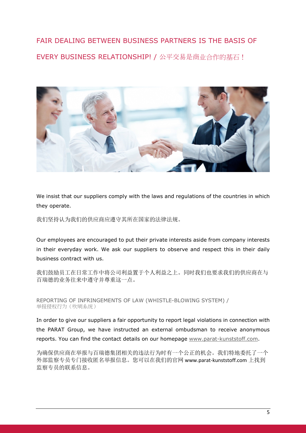# FAIR DEALING BETWEEN BUSINESS PARTNERS IS THE BASIS OF EVERY BUSINESS RELATIONSHIP! / 公平交易是商业合作的基石!



We insist that our suppliers comply with the laws and regulations of the countries in which they operate.

我们坚持认为我们的供应商应遵守其所在国家的法律法规。

Our employees are encouraged to put their private interests aside from company interests in their everyday work. We ask our suppliers to observe and respect this in their daily business contract with us.

我们鼓励员工在日常工作中将公司利益置于个人利益之上。同时我们也要求我们的供应商在与 百瑞德的业务往来中遵守并尊重这一点。

REPORTING OF INFRINGEMENTS OF LAW (WHISTLE-BLOWING SYSTEM) / 举报侵权行为(吹哨系统)

In order to give our suppliers a fair opportunity to report legal violations in connection with the PARAT Group, we have instructed an external ombudsman to receive anonymous reports. You can find the contact details on our homepage www.parat-kunststoff.com.

为确保供应商在举报与百瑞德集团相关的违法行为时有一个公正的机会。我们特地委托了一个 外部监察专员专门接收匿名举报信息。您可以在我们的官网 www.parat-kunststoff.com 上找到 监察专员的联系信息。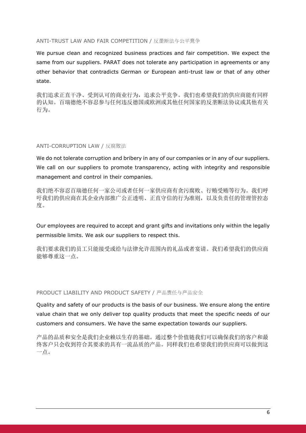#### ANTI-TRUST LAW AND FAIR COMPETITION / 反垄断法与公平竞争

We pursue clean and recognized business practices and fair competition. We expect the same from our suppliers. PARAT does not tolerate any participation in agreements or any other behavior that contradicts German or European anti-trust law or that of any other state.

我们追求正直干净、受到认可的商业行为,追求公平竞争。我们也希望我们的供应商能有同样 的认知。百瑞德绝不容忍参与任何违反德国或欧洲或其他任何国家的反垄断法协议或其他有关 行为。

#### ANTI-CORRUPTION LAW / 反腐败法

We do not tolerate corruption and bribery in any of our companies or in any of our suppliers. We call on our suppliers to promote transparency, acting with integrity and responsible management and control in their companies.

我们绝不容忍百瑞德任何一家公司或者任何一家供应商有贪污腐败、行贿受贿等行为。我们呼 吁我们的供应商在其企业内部推广公正透明、正直守信的行为准则,以及负责任的管理管控态 度。

Our employees are required to accept and grant gifts and invitations only within the legally permissible limits. We ask our suppliers to respect this.

我们要求我们的员工只能接受或给与法律允许范围内的礼品或者宴请。我们希望我们的供应商 能够尊重这一点。

PRODUCT LIABILITY AND PRODUCT SAFETY / 产品责任与产品安全

Quality and safety of our products is the basis of our business. We ensure along the entire value chain that we only deliver top quality products that meet the specific needs of our customers and consumers. We have the same expectation towards our suppliers.

产品的品质和安全是我们企业赖以生存的基础。通过整个价值链我们可以确保我们的客户和最 终客户只会收到符合其要求的具有一流品质的产品。同样我们也希望我们的供应商可以做到这 一点。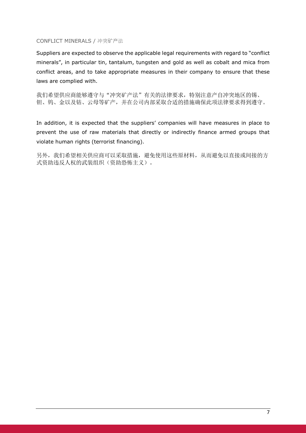#### CONFLICT MINERALS / 冲突矿产法

Suppliers are expected to observe the applicable legal requirements with regard to "conflict minerals", in particular tin, tantalum, tungsten and gold as well as cobalt and mica from conflict areas, and to take appropriate measures in their company to ensure that these laws are complied with.

我们希望供应商能够遵守与"冲突矿产法"有关的法律要求,特别注意产自冲突地区的锡、 钽、钨、金以及钴、云母等矿产,并在公司内部采取合适的措施确保此项法律要求得到遵守。

In addition, it is expected that the suppliers' companies will have measures in place to prevent the use of raw materials that directly or indirectly finance armed groups that violate human rights (terrorist financing).

另外,我们希望相关供应商可以采取措施,避免使用这些原材料,从而避免以直接或间接的方 式资助违反人权的武装组织(资助恐怖主义)。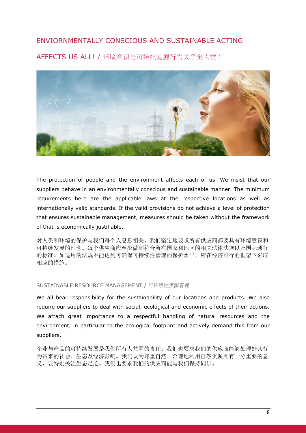## ENVIORNMENTALLY CONSCIOUS AND SUSTAINABLE ACTING

AFFECTS US ALL! / 环境意识与可持续发展行为关乎全人类!



The protection of people and the environment affects each of us. We insist that our suppliers behave in an environmentally conscious and sustainable manner. The minimum requirements here are the applicable laws at the respective locations as well as internationally valid standards. If the valid provisions do not achieve a level of protection that ensures sustainable management, measures should be taken without the framework of that is economically justifiable.

对人类和环境的保护与我们每个人息息相关。我们坚定地要求所有供应商都要具有环境意识和 可持续发展的理念。每个供应商应至少做到符合所在国家和地区的相关法律法规以及国际通行 的标准。如适用的法规不能达到可确保可持续性管理的保护水平,应在经济可行的框架下采取 相应的措施。

#### SUSTAINABLE RESOURCE MANAGEMENT / 可持续性资源管理

We all bear responsibility for the sustainability of our locations and products. We also require our suppliers to deal with social, ecological and economic effects of their actions. We attach great importance to a respectful handling of natural resources and the environment, in particular to the ecological footprint and actively demand this from our suppliers.

企业与产品的可持续发展是我们所有人共同的责任。我们也要求我们的供应商能够处理好其行 为带来的社会、生态及经济影响。我们认为尊重自然、合理地利用自然资源具有十分重要的意 义,要特别关注生态足迹。我们也要求我们的供应商能与我们保持同步。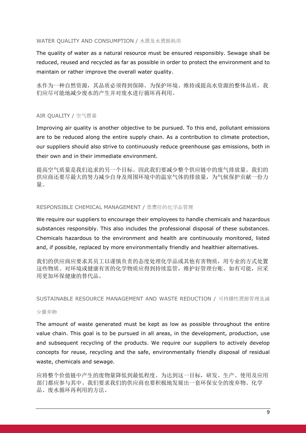#### WATER QUALITY AND CONSUMPTION / 水质及水资源耗用

The quality of water as a natural resource must be ensured responsibly. Sewage shall be reduced, reused and recycled as far as possible in order to protect the environment and to maintain or rather improve the overall water quality.

水作为一种自然资源,其品质必须得到保障。为保护环境、维持或提高水资源的整体品质,我 们应尽可能地减少废水的产生并对废水进行循坏再利用。

#### AIR QUALITY / 空气质量

Improving air quality is another objective to be pursued. To this end, pollutant emissions are to be reduced along the entire supply chain. As a contribution to climate protection, our suppliers should also strive to continuously reduce greenhouse gas emissions, both in their own and in their immediate environment.

提高空气质量是我们追求的另一个目标。因此我们要减少整个供应链中的废气排放量。我们的 供应商还要尽最大的努力减少自身及周围环境中的温室气体的排放量,为气候保护贡献一份力 量。

#### RESPONSIBLE CHEMICAL MANAGEMENT / 负责任的化学品管理

We require our suppliers to encourage their employees to handle chemicals and hazardous substances responsibly. This also includes the professional disposal of these substances. Chemicals hazardous to the environment and health are continuously monitored, listed and, if possible, replaced by more environmentally friendly and healthier alternatives.

我们的供应商应要求其员工以谨慎负责的态度处理化学品或其他有害物质,用专业的方式处置 这些物质。对环境或健康有害的化学物质应得到持续监管,维护好管理台账。如有可能,应采 用更加环保健康的替代品。

SUSTAINABLE RESOURCE MANAGEMENT AND WASTE REDUCTION / 可持续性资源管理及减

#### 少废弃物

The amount of waste generated must be kept as low as possible throughout the entire value chain. This goal is to be pursued in all areas, in the development, production, use and subsequent recycling of the products. We require our suppliers to actively develop concepts for reuse, recycling and the safe, environmentally friendly disposal of residual waste, chemicals and sewage.

应将整个价值链中产生的废物量降低到最低程度。为达到这一目标,研发、生产、使用及应用 部门都应参与其中。我们要求我们的供应商也要积极地发展出一套环保安全的废弃物、化学 品、废水循环再利用的方法。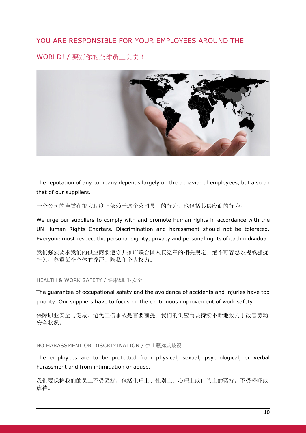# YOU ARE RESPONSIBLE FOR YOUR EMPLOYEES AROUND THE

WORLD! / 要对你的全球员工负责!



The reputation of any company depends largely on the behavior of employees, but also on that of our suppliers.

一个公司的声誉在很大程度上依赖于这个公司员工的行为,也包括其供应商的行为。

We urge our suppliers to comply with and promote human rights in accordance with the UN Human Rights Charters. Discrimination and harassment should not be tolerated. Everyone must respect the personal dignity, privacy and personal rights of each individual.

我们强烈要求我们的供应商要遵守并推广联合国人权宪章的相关规定。绝不可容忍歧视或骚扰 行为,尊重每个个体的尊严、隐私和个人权力。

HEALTH & WORK SAFETY / 健康&职业安全

The guarantee of occupational safety and the avoidance of accidents and injuries have top priority. Our suppliers have to focus on the continuous improvement of work safety.

保障职业安全与健康、避免工伤事故是首要前提。我们的供应商要持续不断地致力于改善劳动 安全状况。

NO HARASSMENT OR DISCRIMINATION / 禁止骚扰或歧视

The employees are to be protected from physical, sexual, psychological, or verbal harassment and from intimidation or abuse.

我们要保护我们的员工不受骚扰,包括生理上、性别上、心理上或口头上的骚扰,不受恐吓或 虐待。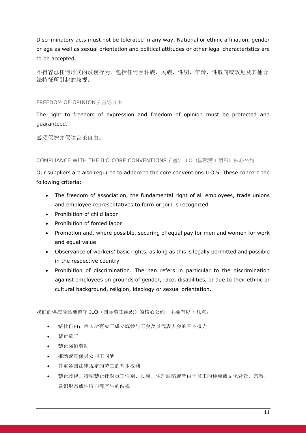Discriminatory acts must not be tolerated in any way. National or ethnic affiliation, gender or age as well as sexual orientation and political attitudes or other legal characteristics are to be accepted.

不得容忍任何形式的歧视行为,包括任何因种族、民族、性别、年龄、性取向或政见及其他合 法特征所引起的歧视。

#### FREEDOM OF OPINION / 言论自由

The right to freedom of expression and freedom of opinion must be protected and guaranteed.

必须保护并保障言论自由。

#### COMPLIANCE WITH THE ILO CORE CONVENTIONS / 導守 ILO (国际劳工组织) 核心公约

Our suppliers are also required to adhere to the core conventions ILO 5. These concern the following criteria:

- The freedom of association, the fundamental right of all employees, trade unions and employee representatives to form or join is recognized
- Prohibition of child labor
- Prohibition of forced labor
- Promotion and, where possible, securing of equal pay for men and women for work and equal value
- Observance of workers' basic rights, as long as this is legally permitted and possible in the respective country
- Prohibition of discrimination. The ban refers in particular to the discrimination against employees on grounds of gender, race, disabilities, or due to their ethnic or cultural background, religion, ideology or sexual orientation.

我们的供应商还要遵守 ILO(国际劳工组织)的核心公约, 主要有以下几点:

- 结社自由;承认所有员工成立或参与工会及员代表大会的基本权力
- 禁止童工
- 禁止强迫劳动
- 推动或确保男女同工同酬
- 尊重各国法律规定的劳工的基本权利
- 禁止歧视。特别禁止针对员工性别、民族、生理缺陷或者由于员工的种族或文化背景、宗教、 意识形态或性取向等产生的歧视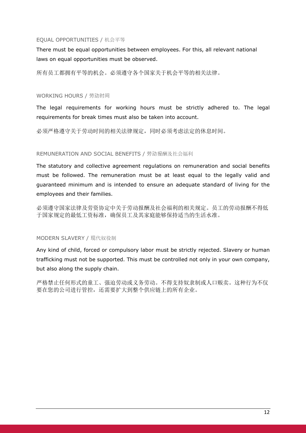#### EQUAL OPPORTUNITIES / 机会平等

There must be equal opportunities between employees. For this, all relevant national laws on equal opportunities must be observed.

所有员工都拥有平等的机会。必须遵守各个国家关于机会平等的相关法律。

#### WORKING HOURS / 劳动时间

The legal requirements for working hours must be strictly adhered to. The legal requirements for break times must also be taken into account.

必须严格遵守关于劳动时间的相关法律规定,同时必须考虑法定的休息时间。

#### REMUNERATION AND SOCIAL BENEFITS / 劳动报酬及社会福利

The statutory and collective agreement regulations on remuneration and social benefits must be followed. The remuneration must be at least equal to the legally valid and guaranteed minimum and is intended to ensure an adequate standard of living for the employees and their families.

必须遵守国家法律及劳资协定中关于劳动报酬及社会福利的相关规定。员工的劳动报酬不得低 于国家规定的最低工资标准,确保员工及其家庭能够保持适当的生活水准。

#### MODERN SLAVERY / 现代奴役制

Any kind of child, forced or compulsory labor must be strictly rejected. Slavery or human trafficking must not be supported. This must be controlled not only in your own company, but also along the supply chain.

严格禁止任何形式的童工、强迫劳动或义务劳动。不得支持奴隶制或人口贩卖。这种行为不仅 要在您的公司进行管控,还需要扩大到整个供应链上的所有企业。